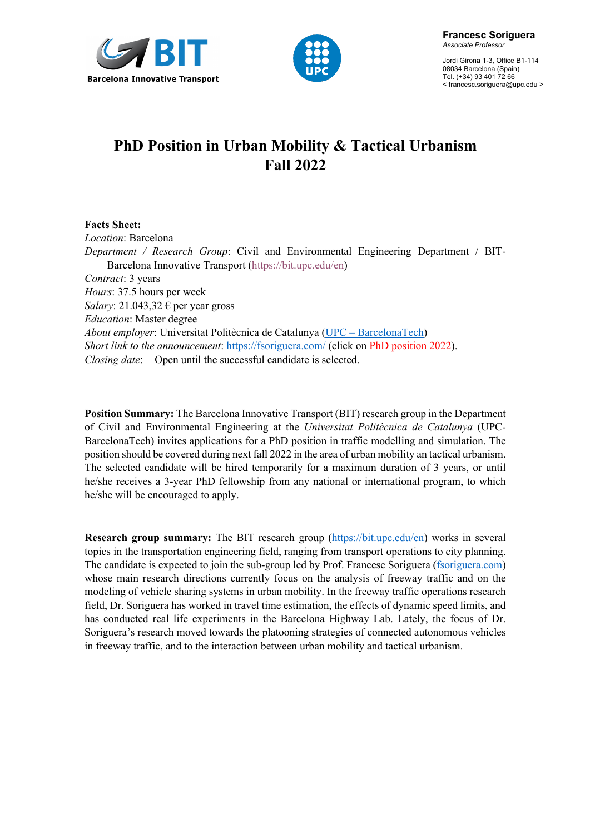



## **PhD Position in Urban Mobility & Tactical Urbanism Fall 2022**

## **Facts Sheet:**

*Location*: Barcelona *Department / Research Group*: Civil and Environmental Engineering Department / BIT-Barcelona Innovative Transport (https://bit.upc.edu/en) *Contract*: 3 years *Hours*: 37.5 hours per week *Salary*: 21.043,32 € per year gross *Education*: Master degree *About employer*: Universitat Politècnica de Catalunya (UPC – BarcelonaTech) *Short link to the announcement*: https://fsoriguera.com/ (click on PhD position 2022). *Closing date*: Open until the successful candidate is selected.

**Position Summary:** The Barcelona Innovative Transport (BIT) research group in the Department of Civil and Environmental Engineering at the *Universitat Politècnica de Catalunya* (UPC-BarcelonaTech) invites applications for a PhD position in traffic modelling and simulation. The position should be covered during next fall 2022 in the area of urban mobility an tactical urbanism. The selected candidate will be hired temporarily for a maximum duration of 3 years, or until he/she receives a 3-year PhD fellowship from any national or international program, to which he/she will be encouraged to apply.

**Research group summary:** The BIT research group (https://bit.upc.edu/en) works in several topics in the transportation engineering field, ranging from transport operations to city planning. The candidate is expected to join the sub-group led by Prof. Francesc Soriguera (fsoriguera.com) whose main research directions currently focus on the analysis of freeway traffic and on the modeling of vehicle sharing systems in urban mobility. In the freeway traffic operations research field, Dr. Soriguera has worked in travel time estimation, the effects of dynamic speed limits, and has conducted real life experiments in the Barcelona Highway Lab. Lately, the focus of Dr. Soriguera's research moved towards the platooning strategies of connected autonomous vehicles in freeway traffic, and to the interaction between urban mobility and tactical urbanism.